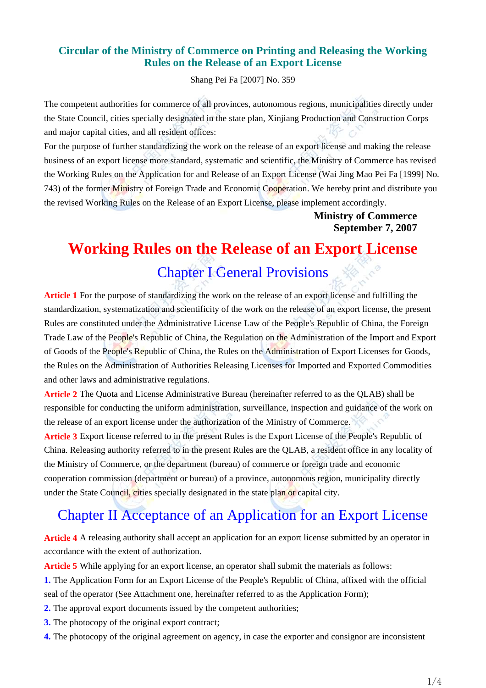### **Circular of the Ministry of Commerce on Printing and Releasing the Working Rules on the Release of an Export License**

Shang Pei Fa [2007] No. 359

The competent authorities for commerce of all provinces, autonomous regions, municipalities directly under the State Council, cities specially designated in the state plan, Xinjiang Production and Construction Corps and major capital cities, and all resident offices:

For the purpose of further standardizing the work on the release of an export license and making the release business of an export license more standard, systematic and scientific, the Ministry of Commerce has revised the Working Rules on the Application for and Release of an Export License (Wai Jing Mao Pei Fa [1999] No. 743) of the former Ministry of Foreign Trade and Economic Cooperation. We hereby print and distribute you the revised Working Rules on the Release of an Export License, please implement accordingly.

> **Ministry of Commerce September 7, 2007**

## **Working Rules on the Release of an Export License**

## Chapter I General Provisions

**Article 1** For the purpose of standardizing the work on the release of an export license and fulfilling the standardization, systematization and scientificity of the work on the release of an export license, the present Rules are constituted under the Administrative License Law of the People's Republic of China, the Foreign Trade Law of the People's Republic of China, the Regulation on the Administration of the Import and Export of Goods of the People's Republic of China, the Rules on the Administration of Export Licenses for Goods, the Rules on the Administration of Authorities Releasing Licenses for Imported and Exported Commodities and other laws and administrative regulations.

**Article 2** The Quota and License Administrative Bureau (hereinafter referred to as the QLAB) shall be responsible for conducting the uniform administration, surveillance, inspection and guidance of the work on the release of an export license under the authorization of the Ministry of Commerce.

**Article 3** Export license referred to in the present Rules is the Export License of the People's Republic of China. Releasing authority referred to in the present Rules are the QLAB, a resident office in any locality of the Ministry of Commerce, or the department (bureau) of commerce or foreign trade and economic cooperation commission (department or bureau) of a province, autonomous region, municipality directly under the State Council, cities specially designated in the state plan or capital city.

## Chapter II Acceptance of an Application for an Export License

**Article 4** A releasing authority shall accept an application for an export license submitted by an operator in accordance with the extent of authorization.

**Article 5** While applying for an export license, an operator shall submit the materials as follows:

- **1.** The Application Form for an Export License of the People's Republic of China, affixed with the official seal of the operator (See Attachment one, hereinafter referred to as the Application Form);
- **2.** The approval export documents issued by the competent authorities;
- **3.** The photocopy of the original export contract;
- **4.** The photocopy of the original agreement on agency, in case the exporter and consignor are inconsistent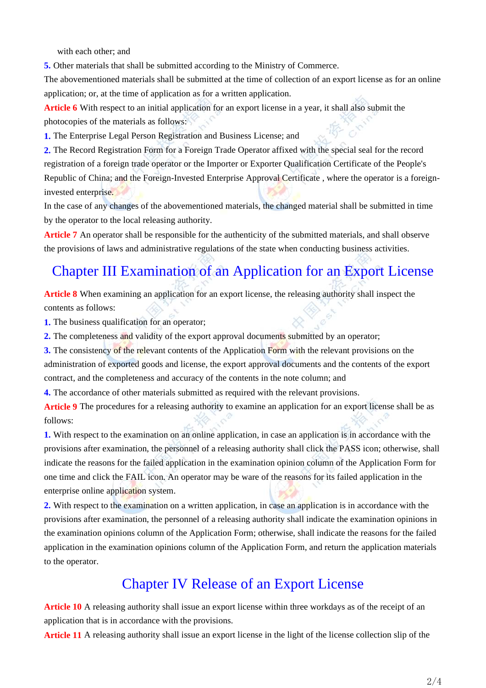with each other; and

**5.** Other materials that shall be submitted according to the Ministry of Commerce.

The abovementioned materials shall be submitted at the time of collection of an export license as for an online application; or, at the time of application as for a written application.

**Article 6** With respect to an initial application for an export license in a year, it shall also submit the photocopies of the materials as follows:

**1.** The Enterprise Legal Person Registration and Business License; and

**2.** The Record Registration Form for a Foreign Trade Operator affixed with the special seal for the record registration of a foreign trade operator or the Importer or Exporter Qualification Certificate of the People's Republic of China; and the Foreign-Invested Enterprise Approval Certificate , where the operator is a foreigninvested enterprise.

In the case of any changes of the abovementioned materials, the changed material shall be submitted in time by the operator to the local releasing authority.

**Article 7** An operator shall be responsible for the authenticity of the submitted materials, and shall observe the provisions of laws and administrative regulations of the state when conducting business activities.

## Chapter III Examination of an Application for an Export License

**Article 8** When examining an application for an export license, the releasing authority shall inspect the contents as follows:

**1.** The business qualification for an operator;

**2.** The completeness and validity of the export approval documents submitted by an operator;

**3.** The consistency of the relevant contents of the Application Form with the relevant provisions on the administration of exported goods and license, the export approval documents and the contents of the export contract, and the completeness and accuracy of the contents in the note column; and

**4.** The accordance of other materials submitted as required with the relevant provisions.

**Article 9** The procedures for a releasing authority to examine an application for an export license shall be as follows:

**1.** With respect to the examination on an online application, in case an application is in accordance with the provisions after examination, the personnel of a releasing authority shall click the PASS icon; otherwise, shall indicate the reasons for the failed application in the examination opinion column of the Application Form for one time and click the FAIL icon. An operator may be ware of the reasons for its failed application in the enterprise online application system.

**2.** With respect to the examination on a written application, in case an application is in accordance with the provisions after examination, the personnel of a releasing authority shall indicate the examination opinions in the examination opinions column of the Application Form; otherwise, shall indicate the reasons for the failed application in the examination opinions column of the Application Form, and return the application materials to the operator.

### Chapter IV Release of an Export License

**Article 10** A releasing authority shall issue an export license within three workdays as of the receipt of an application that is in accordance with the provisions.

**Article 11** A releasing authority shall issue an export license in the light of the license collection slip of the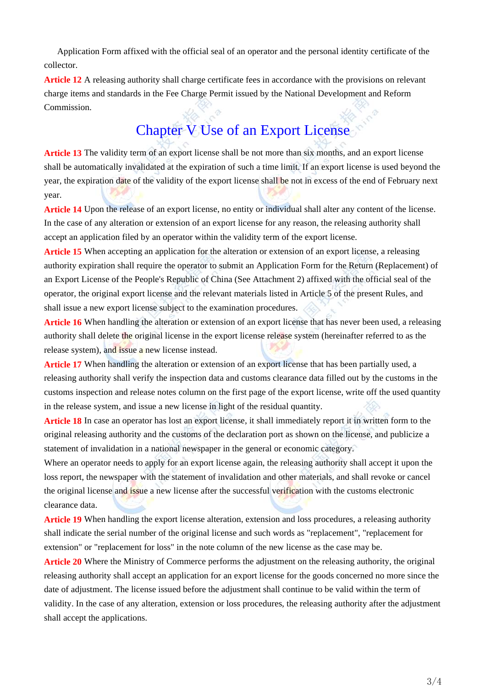Application Form affixed with the official seal of an operator and the personal identity certificate of the collector.

**Article 12** A releasing authority shall charge certificate fees in accordance with the provisions on relevant charge items and standards in the Fee Charge Permit issued by the National Development and Reform Commission.

# Chapter V Use of an Export License

**Article 13** The validity term of an export license shall be not more than six months, and an export license shall be automatically invalidated at the expiration of such a time limit. If an export license is used beyond the year, the expiration date of the validity of the export license shall be not in excess of the end of February next year.

**Article 14** Upon the release of an export license, no entity or individual shall alter any content of the license. In the case of any alteration or extension of an export license for any reason, the releasing authority shall accept an application filed by an operator within the validity term of the export license.

**Article 15** When accepting an application for the alteration or extension of an export license, a releasing authority expiration shall require the operator to submit an Application Form for the Return (Replacement) of an Export License of the People's Republic of China (See Attachment 2) affixed with the official seal of the operator, the original export license and the relevant materials listed in Article 5 of the present Rules, and shall issue a new export license subject to the examination procedures.

**Article 16** When handling the alteration or extension of an export license that has never been used, a releasing authority shall delete the original license in the export license release system (hereinafter referred to as the release system), and issue a new license instead.

Article 17 When handling the alteration or extension of an export license that has been partially used, a releasing authority shall verify the inspection data and customs clearance data filled out by the customs in the customs inspection and release notes column on the first page of the export license, write off the used quantity in the release system, and issue a new license in light of the residual quantity.

**Article 18** In case an operator has lost an export license, it shall immediately report it in written form to the original releasing authority and the customs of the declaration port as shown on the license, and publicize a statement of invalidation in a national newspaper in the general or economic category.

Where an operator needs to apply for an export license again, the releasing authority shall accept it upon the loss report, the newspaper with the statement of invalidation and other materials, and shall revoke or cancel the original license and issue a new license after the successful verification with the customs electronic clearance data.

**Article 19** When handling the export license alteration, extension and loss procedures, a releasing authority shall indicate the serial number of the original license and such words as "replacement", "replacement for extension" or "replacement for loss" in the note column of the new license as the case may be.

**Article 20** Where the Ministry of Commerce performs the adjustment on the releasing authority, the original releasing authority shall accept an application for an export license for the goods concerned no more since the date of adjustment. The license issued before the adjustment shall continue to be valid within the term of validity. In the case of any alteration, extension or loss procedures, the releasing authority after the adjustment shall accept the applications.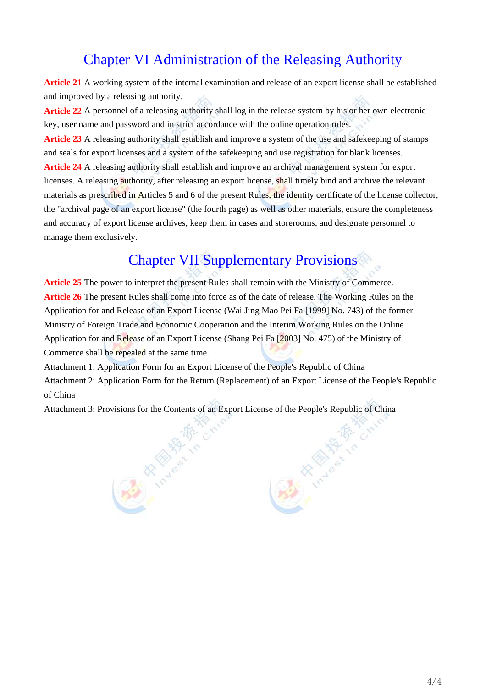## Chapter VI Administration of the Releasing Authority

**Article 21** A working system of the internal examination and release of an export license shall be established and improved by a releasing authority.

**Article 22** A personnel of a releasing authority shall log in the release system by his or her own electronic key, user name and password and in strict accordance with the online operation rules.

**Article 23** A releasing authority shall establish and improve a system of the use and safekeeping of stamps and seals for export licenses and a system of the safekeeping and use registration for blank licenses. **Article 24** A releasing authority shall establish and improve an archival management system for export licenses. A releasing authority, after releasing an export license, shall timely bind and archive the relevant materials as prescribed in Articles 5 and 6 of the present Rules, the identity certificate of the license collector, the "archival page of an export license" (the fourth page) as well as other materials, ensure the completeness and accuracy of export license archives, keep them in cases and storerooms, and designate personnel to manage them exclusively.

# Chapter VII Supplementary Provisions

**Article 25** The power to interpret the present Rules shall remain with the Ministry of Commerce. **Article 26** The present Rules shall come into force as of the date of release. The Working Rules on the Application for and Release of an Export License (Wai Jing Mao Pei Fa [1999] No. 743) of the former Ministry of Foreign Trade and Economic Cooperation and the Interim Working Rules on the Online Application for and Release of an Export License (Shang Pei Fa [2003] No. 475) of the Ministry of Commerce shall be repealed at the same time.

Attachment 1: Application Form for an Export License of the People's Republic of China Attachment 2: Application Form for the Return (Replacement) of an Export License of the People's Republic of China

Attachment 3: Provisions for the Contents of an Export License of the People's Republic of China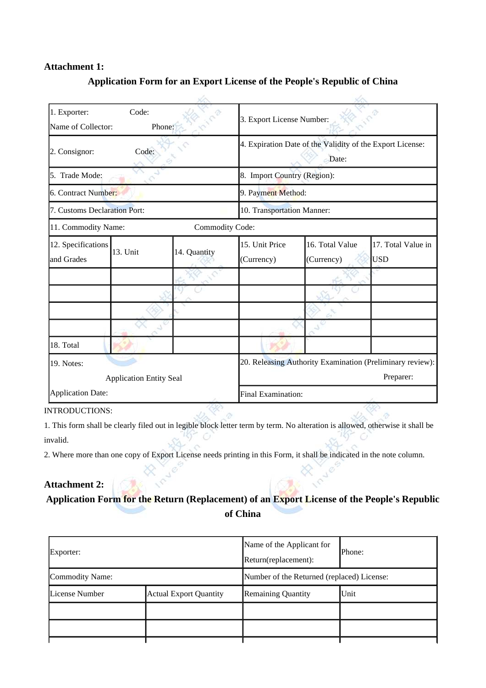### **Attachment 1:**

| 1. Exporter:<br>Name of Collector: | Code:<br>Phone: |                                                                    | 3. Export License Number:                                 |                               |                                  |  |
|------------------------------------|-----------------|--------------------------------------------------------------------|-----------------------------------------------------------|-------------------------------|----------------------------------|--|
| Code:<br>2. Consignor:             |                 | 4. Expiration Date of the Validity of the Export License:<br>Date: |                                                           |                               |                                  |  |
| 5. Trade Mode:                     |                 |                                                                    | 8. Import Country (Region):                               |                               |                                  |  |
| 6. Contract Number:                |                 |                                                                    | 9. Payment Method:                                        |                               |                                  |  |
| 7. Customs Declaration Port:       |                 |                                                                    | 10. Transportation Manner:                                |                               |                                  |  |
| 11. Commodity Name:                |                 | Commodity Code:                                                    |                                                           |                               |                                  |  |
| 12. Specifications<br>and Grades   | 13. Unit        | 14. Quantity                                                       | 15. Unit Price<br>(Currency)                              | 16. Total Value<br>(Currency) | 17. Total Value in<br><b>USD</b> |  |
|                                    |                 |                                                                    |                                                           |                               |                                  |  |
|                                    |                 |                                                                    |                                                           |                               |                                  |  |
|                                    |                 |                                                                    |                                                           |                               |                                  |  |
| 18. Total                          |                 |                                                                    |                                                           |                               |                                  |  |
| 19. Notes:                         |                 |                                                                    | 20. Releasing Authority Examination (Preliminary review): |                               |                                  |  |
| <b>Application Entity Seal</b>     |                 |                                                                    |                                                           | Preparer:                     |                                  |  |
| <b>Application Date:</b>           |                 |                                                                    |                                                           | Final Examination:            |                                  |  |

### **Application Form for an Export License of the People's Republic of China**

### INTRODUCTIONS:

1. This form shall be clearly filed out in legible block letter term by term. No alteration is allowed, otherwise it shall be invalid.

2. Where more than one copy of Export License needs printing in this Form, it shall be indicated in the note column.

### **Attachment 2: Application Form for the Return (Replacement) of an Export License of the People's Republic of China**

| Exporter:       |                               | Name of the Applicant for<br>Return(replacement): | Phone: |  |
|-----------------|-------------------------------|---------------------------------------------------|--------|--|
| Commodity Name: |                               | Number of the Returned (replaced) License:        |        |  |
| License Number  | <b>Actual Export Quantity</b> | Remaining Quantity                                | Unit   |  |
|                 |                               |                                                   |        |  |
|                 |                               |                                                   |        |  |
|                 |                               |                                                   |        |  |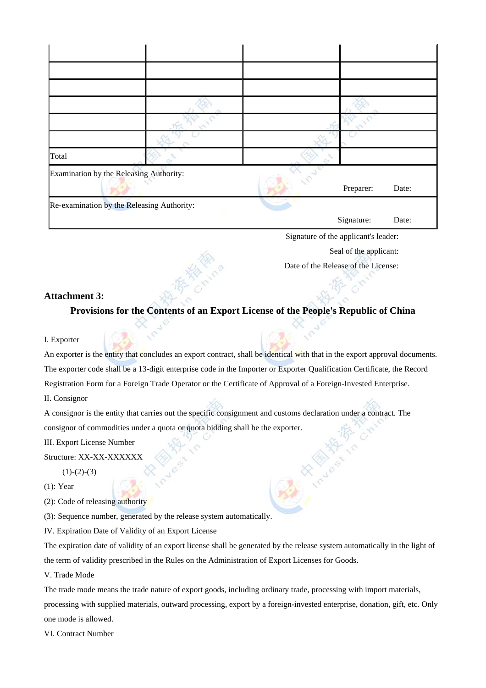| Total |                                            |  |            |       |  |
|-------|--------------------------------------------|--|------------|-------|--|
|       | Examination by the Releasing Authority:    |  | Preparer:  | Date: |  |
|       | Re-examination by the Releasing Authority: |  |            |       |  |
|       |                                            |  | Signature: | Date: |  |
|       | Signature of the applicant's leader:       |  |            |       |  |

Seal of the applicant:

Date of the Release of the License:

### **Attachment 3:**

**Provisions for the Contents of an Export License of the People's Republic of China**

#### I. Exporter

An exporter is the entity that concludes an export contract, shall be identical with that in the export approval documents. The exporter code shall be a 13-digit enterprise code in the Importer or Exporter Qualification Certificate, the Record Registration Form for a Foreign Trade Operator or the Certificate of Approval of a Foreign-Invested Enterprise. II. Consignor

A consignor is the entity that carries out the specific consignment and customs declaration under a contract. The consignor of commodities under a quota or quota bidding shall be the exporter.

III. Export License Number

Structure: XX-XX-XXXXXX

 $(1)-(2)-(3)$ 

(1): Year

(2): Code of releasing authority

(3): Sequence number, generated by the release system automatically.

IV. Expiration Date of Validity of an Export License

The expiration date of validity of an export license shall be generated by the release system automatically in the light of the term of validity prescribed in the Rules on the Administration of Export Licenses for Goods.

V. Trade Mode

The trade mode means the trade nature of export goods, including ordinary trade, processing with import materials, processing with supplied materials, outward processing, export by a foreign-invested enterprise, donation, gift, etc. Only one mode is allowed.

VI. Contract Number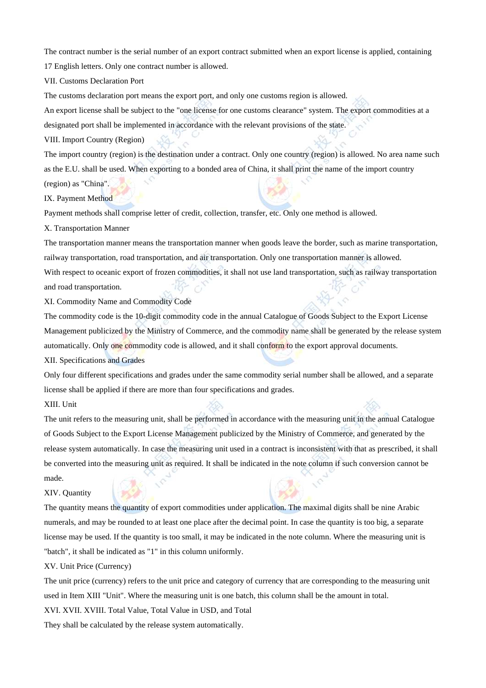The contract number is the serial number of an export contract submitted when an export license is applied, containing 17 English letters. Only one contract number is allowed.

VII. Customs Declaration Port

The customs declaration port means the export port, and only one customs region is allowed.

An export license shall be subject to the "one license for one customs clearance" system. The export commodities at a designated port shall be implemented in accordance with the relevant provisions of the state.

VIII. Import Country (Region)

The import country (region) is the destination under a contract. Only one country (region) is allowed. No area name such as the E.U. shall be used. When exporting to a bonded area of China, it shall print the name of the import country (region) as "China".

IX. Payment Method

Payment methods shall comprise letter of credit, collection, transfer, etc. Only one method is allowed.

X. Transportation Manner

The transportation manner means the transportation manner when goods leave the border, such as marine transportation, railway transportation, road transportation, and air transportation. Only one transportation manner is allowed. With respect to oceanic export of frozen commodities, it shall not use land transportation, such as railway transportation and road transportation.

XI. Commodity Name and Commodity Code

The commodity code is the 10-digit commodity code in the annual Catalogue of Goods Subject to the Export License Management publicized by the Ministry of Commerce, and the commodity name shall be generated by the release system automatically. Only one commodity code is allowed, and it shall conform to the export approval documents.

XII. Specifications and Grades

Only four different specifications and grades under the same commodity serial number shall be allowed, and a separate license shall be applied if there are more than four specifications and grades.

XIII. Unit

The unit refers to the measuring unit, shall be performed in accordance with the measuring unit in the annual Catalogue of Goods Subject to the Export License Management publicized by the Ministry of Commerce, and generated by the release system automatically. In case the measuring unit used in a contract is inconsistent with that as prescribed, it shall be converted into the measuring unit as required. It shall be indicated in the note column if such conversion cannot be made.

#### XIV. Quantity

The quantity means the quantity of export commodities under application. The maximal digits shall be nine Arabic numerals, and may be rounded to at least one place after the decimal point. In case the quantity is too big, a separate license may be used. If the quantity is too small, it may be indicated in the note column. Where the measuring unit is "batch", it shall be indicated as "1" in this column uniformly.

XV. Unit Price (Currency)

The unit price (currency) refers to the unit price and category of currency that are corresponding to the measuring unit used in Item XIII "Unit". Where the measuring unit is one batch, this column shall be the amount in total.

XVI. XVII. XVIII. Total Value, Total Value in USD, and Total

They shall be calculated by the release system automatically.